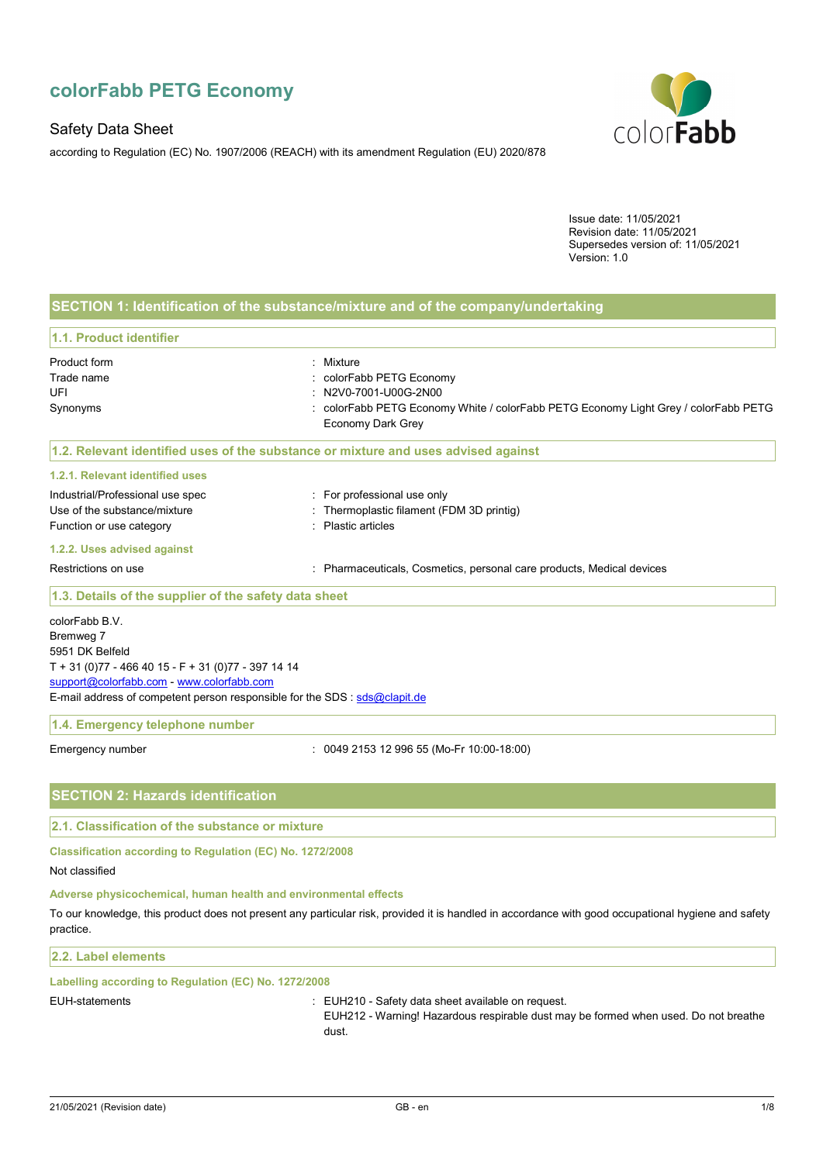# **colorFabb PETG Economy**

## Safety Data Sheet

according to Regulation (EC) No. 1907/2006 (REACH) with its amendment Regulation (EU) 2020/878



Issue date: 11/05/2021 Revision date: 11/05/2021 Supersedes version of: 11/05/2021 Version: 1.0

## **SECTION 1: Identification of the substance/mixture and of the company/undertaking**

#### **1.1. Product identifier**

| Product form                     | : Mixture                                                                           |
|----------------------------------|-------------------------------------------------------------------------------------|
| Trade name                       | : colorFabb PETG Economy                                                            |
| UFI                              | : N2V0-7001-U00G-2N00                                                               |
| Synonyms                         | : colorFabb PETG Economy White / colorFabb PETG Economy Light Grey / colorFabb PETG |
|                                  | Economy Dark Grey                                                                   |
|                                  | 1.2. Relevant identified uses of the substance or mixture and uses advised against  |
| 1.2.1. Relevant identified uses  |                                                                                     |
| Industrial/Professional use spec | : For professional use only                                                         |

# Use of the substance/mixture in the substance/mixture in the substance/mixture in the substance of the substance of the substance of the substance of the substance of the substance of the substance of the substance of the

| ___________________________ |                    |
|-----------------------------|--------------------|
| Function or use category    | : Plastic articles |

#### **1.2.2. Uses advised against**

Restrictions on use **intervals and the Constantine Constructs** Cosmetics, personal care products, Medical devices

#### **1.3. Details of the supplier of the safety data sheet**

colorFabb B.V. Bremweg 7 5951 DK Belfeld T + 31 (0)77 - 466 40 15 - F + 31 (0)77 - 397 14 14 support@colorfabb.com - www.colorfabb.com E-mail address of competent person responsible for the SDS : sds@clapit.de

#### **1.4. Emergency telephone number**

Emergency number : 0049 2153 12 996 55 (Mo-Fr 10:00-18:00)

## **SECTION 2: Hazards identification**

## **2.1. Classification of the substance or mixture**

**Classification according to Regulation (EC) No. 1272/2008** 

Not classified

## **Adverse physicochemical, human health and environmental effects**

To our knowledge, this product does not present any particular risk, provided it is handled in accordance with good occupational hygiene and safety practice.

#### **2.2. Label elements**

#### **Labelling according to Regulation (EC) No. 1272/2008**

EUH-statements : EUH210 - Safety data sheet available on request.

EUH212 - Warning! Hazardous respirable dust may be formed when used. Do not breathe dust.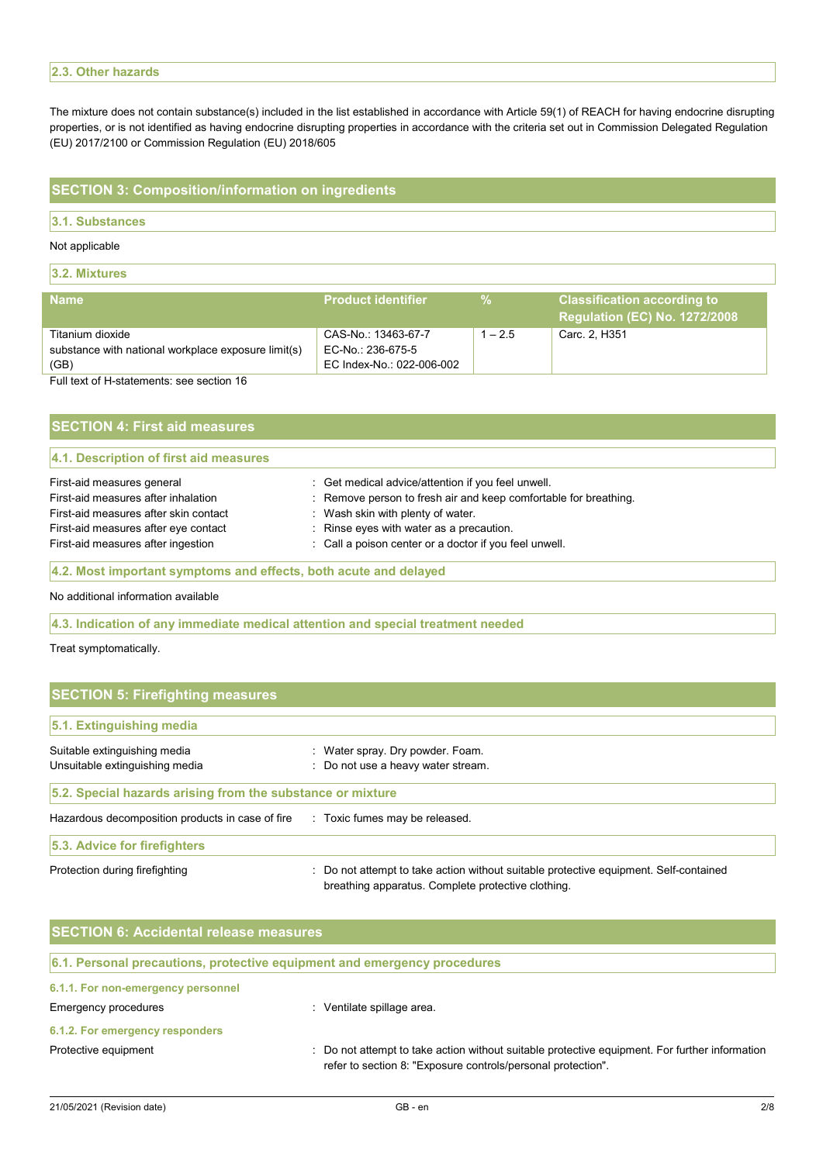## **2.3. Other hazards**

The mixture does not contain substance(s) included in the list established in accordance with Article 59(1) of REACH for having endocrine disrupting properties, or is not identified as having endocrine disrupting properties in accordance with the criteria set out in Commission Delegated Regulation (EU) 2017/2100 or Commission Regulation (EU) 2018/605

## **SECTION 3: Composition/information on ingredients**

#### **3.1. Substances**

#### Not applicable

**3.2. Mixtures** 

| <b>Name</b>                                         | <b>Product identifier</b> | ℀         | <b>Classification according to</b><br><b>Requlation (EC) No. 1272/2008</b> |
|-----------------------------------------------------|---------------------------|-----------|----------------------------------------------------------------------------|
| Titanium dioxide                                    | CAS-No.: 13463-67-7       | $1 - 2.5$ | Carc. 2. H351                                                              |
| substance with national workplace exposure limit(s) | EC-No.: 236-675-5         |           |                                                                            |
| (GB)                                                | EC Index-No.: 022-006-002 |           |                                                                            |
| Full text of H-statements: see section 16           |                           |           |                                                                            |

| <b>SECTION 4: First aid measures</b>   |                                                                  |  |  |
|----------------------------------------|------------------------------------------------------------------|--|--|
| 4.1. Description of first aid measures |                                                                  |  |  |
| First-aid measures general             | : Get medical advice/attention if you feel unwell.               |  |  |
| First-aid measures after inhalation    | : Remove person to fresh air and keep comfortable for breathing. |  |  |
| First-aid measures after skin contact  | : Wash skin with plenty of water.                                |  |  |
| First-aid measures after eye contact   | : Rinse eyes with water as a precaution.                         |  |  |
| First-aid measures after ingestion     | : Call a poison center or a doctor if you feel unwell.           |  |  |

## **4.2. Most important symptoms and effects, both acute and delayed**

No additional information available

#### **4.3. Indication of any immediate medical attention and special treatment needed**

Treat symptomatically.

| <b>SECTION 5: Firefighting measures</b>                    |                                                                                                                                             |  |
|------------------------------------------------------------|---------------------------------------------------------------------------------------------------------------------------------------------|--|
| 5.1. Extinguishing media                                   |                                                                                                                                             |  |
| Suitable extinguishing media                               | : Water spray. Dry powder. Foam.                                                                                                            |  |
| Unsuitable extinguishing media                             | : Do not use a heavy water stream.                                                                                                          |  |
| 5.2. Special hazards arising from the substance or mixture |                                                                                                                                             |  |
| Hazardous decomposition products in case of fire           | : Toxic fumes may be released.                                                                                                              |  |
| 5.3. Advice for firefighters                               |                                                                                                                                             |  |
| Protection during firefighting                             | : Do not attempt to take action without suitable protective equipment. Self-contained<br>breathing apparatus. Complete protective clothing. |  |

| <b>SECTION 6: Accidental release measures</b> |                                                                                                                                                                |  |
|-----------------------------------------------|----------------------------------------------------------------------------------------------------------------------------------------------------------------|--|
|                                               | 6.1. Personal precautions, protective equipment and emergency procedures                                                                                       |  |
| 6.1.1. For non-emergency personnel            |                                                                                                                                                                |  |
| Emergency procedures                          | Ventilate spillage area.                                                                                                                                       |  |
| 6.1.2. For emergency responders               |                                                                                                                                                                |  |
| Protective equipment                          | : Do not attempt to take action without suitable protective equipment. For further information<br>refer to section 8: "Exposure controls/personal protection". |  |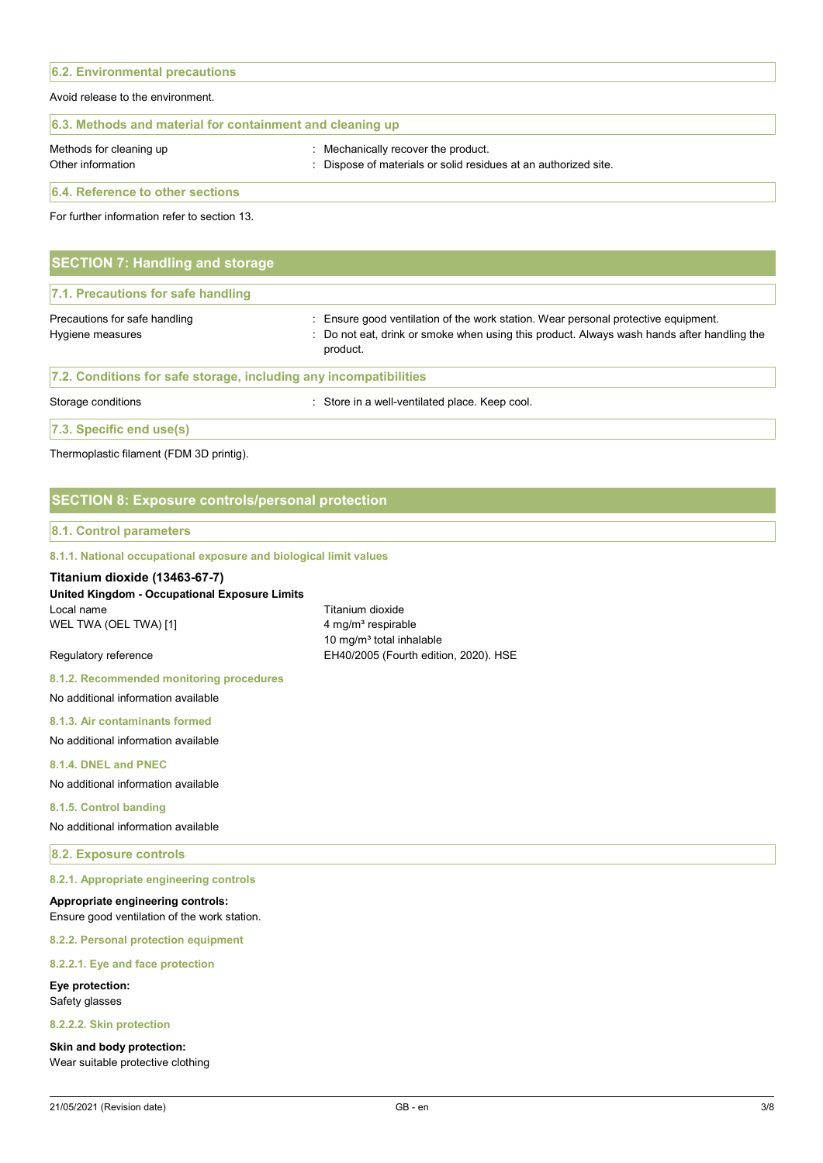# **6.2. Environmental precautions**  Avoid release to the environment. **6.3. Methods and material for containment and cleaning up**  Methods for cleaning up **interpretionally recover the product.** Mechanically recover the product. Other information **intervals and the Contract of Materials** or solid residues at an authorized site.

**6.4. Reference to other sections** 

For further information refer to section 13.

| <b>SECTION 7: Handling and storage</b>                            |                                                                                                                                                                                              |
|-------------------------------------------------------------------|----------------------------------------------------------------------------------------------------------------------------------------------------------------------------------------------|
| 7.1. Precautions for safe handling                                |                                                                                                                                                                                              |
| Precautions for safe handling<br>Hygiene measures                 | : Ensure good ventilation of the work station. Wear personal protective equipment.<br>: Do not eat, drink or smoke when using this product. Always wash hands after handling the<br>product. |
| 7.2. Conditions for safe storage, including any incompatibilities |                                                                                                                                                                                              |

Storage conditions **Storage conditions** : Store in a well-ventilated place. Keep cool.

**7.3. Specific end use(s)** 

Thermoplastic filament (FDM 3D printig).

## **SECTION 8: Exposure controls/personal protection**

#### **8.1. Control parameters**

#### **8.1.1. National occupational exposure and biological limit values**

## **Titanium dioxide (13463-67-7)**

### **United Kingdom - Occupational Exposure Limits**  Local name Titanium dioxide WEL TWA (OEL TWA) [1] 4 mg/m<sup>3</sup> respirable

10 mg/ $m<sup>3</sup>$  total inhalable Regulatory reference **EH40/2005** (Fourth edition, 2020). HSE

**8.1.2. Recommended monitoring procedures** 

No additional information available

**8.1.3. Air contaminants formed** 

No additional information available

### **8.1.4. DNEL and PNEC**

No additional information available

#### **8.1.5. Control banding**

No additional information available

## **8.2. Exposure controls**

#### **8.2.1. Appropriate engineering controls**

## **Appropriate engineering controls:**

Ensure good ventilation of the work station.

#### **8.2.2. Personal protection equipment**

#### **8.2.2.1. Eye and face protection**

**Eye protection:**  Safety glasses

#### **8.2.2.2. Skin protection**

**Skin and body protection:**  Wear suitable protective clothing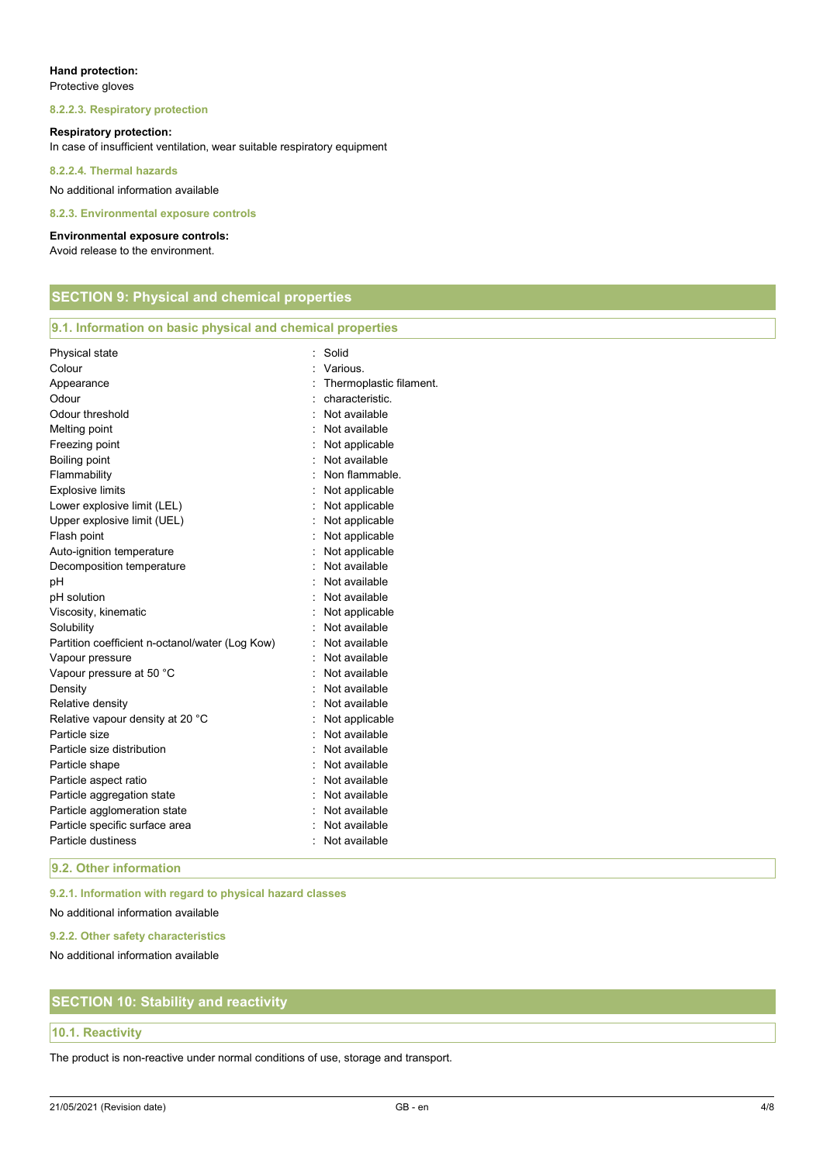## **Hand protection:**

Protective gloves

#### **8.2.2.3. Respiratory protection**

#### **Respiratory protection:**

In case of insufficient ventilation, wear suitable respiratory equipment

**8.2.2.4. Thermal hazards** 

No additional information available

#### **8.2.3. Environmental exposure controls**

#### **Environmental exposure controls:**

Avoid release to the environment.

|  | <b>SECTION 9: Physical and chemical properties</b> |  |
|--|----------------------------------------------------|--|
|  |                                                    |  |

| Physical state                                  | Solid                   |
|-------------------------------------------------|-------------------------|
| Colour                                          | Various.                |
| Appearance                                      | Thermoplastic filament. |
| Odour                                           | characteristic.         |
| Odour threshold                                 | Not available           |
| Melting point                                   | Not available           |
| Freezing point                                  | Not applicable          |
| Boiling point                                   | Not available           |
| Flammability                                    | Non flammable.          |
| <b>Explosive limits</b>                         | Not applicable          |
| Lower explosive limit (LEL)                     | Not applicable          |
| Upper explosive limit (UEL)                     | Not applicable          |
| Flash point                                     | Not applicable          |
| Auto-ignition temperature                       | Not applicable          |
| Decomposition temperature                       | Not available           |
| рH                                              | Not available           |
| pH solution                                     | Not available           |
| Viscosity, kinematic                            | Not applicable          |
| Solubility                                      | Not available           |
| Partition coefficient n-octanol/water (Log Kow) | Not available<br>÷.     |
| Vapour pressure                                 | Not available           |
| Vapour pressure at 50 °C                        | Not available           |
| Density                                         | Not available           |
| Relative density                                | Not available           |
| Relative vapour density at 20 °C                | Not applicable          |
| Particle size                                   | Not available           |
| Particle size distribution                      | Not available           |
| Particle shape                                  | Not available           |
| Particle aspect ratio                           | Not available           |
| Particle aggregation state                      | Not available           |
| Particle agglomeration state                    | Not available           |
| Particle specific surface area                  | Not available           |
| Particle dustiness                              | Not available           |

**9.2. Other information** 

**9.2.1. Information with regard to physical hazard classes** 

No additional information available

**9.2.2. Other safety characteristics** 

No additional information available

## **SECTION 10: Stability and reactivity**

## **10.1. Reactivity**

The product is non-reactive under normal conditions of use, storage and transport.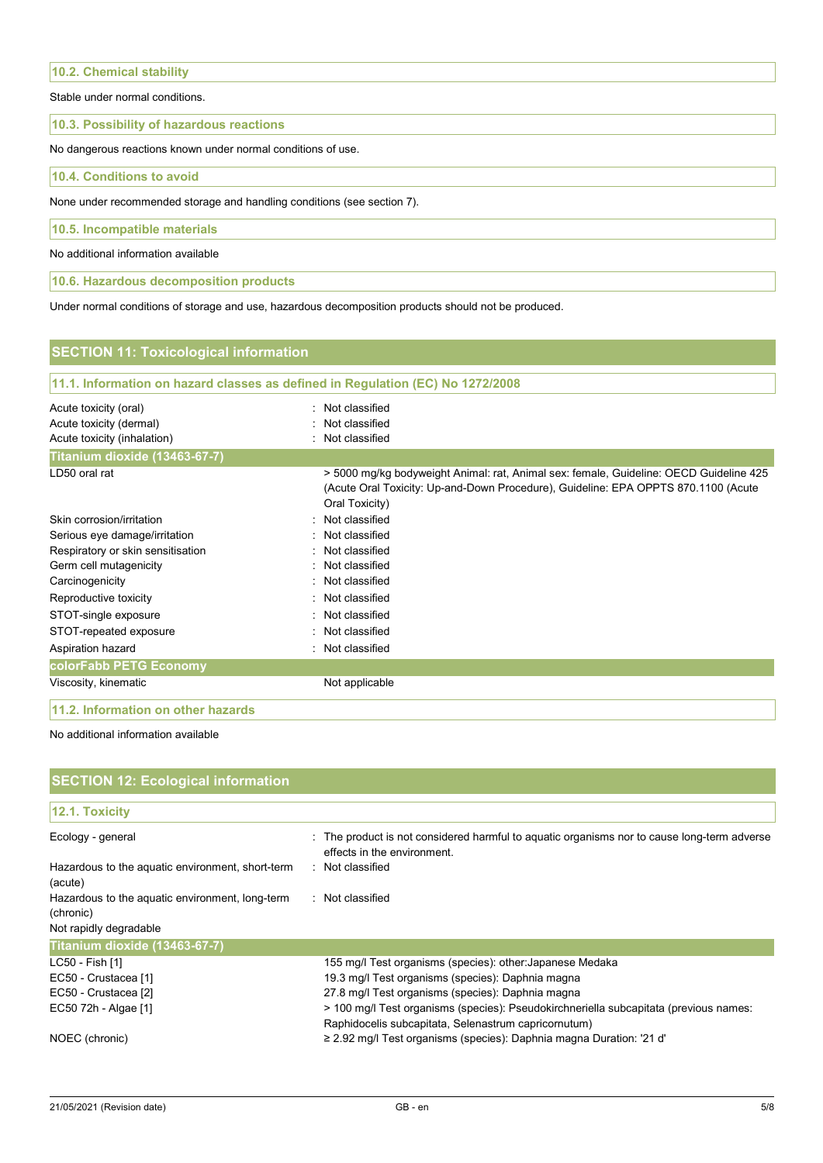**10.2. Chemical stability** 

Stable under normal conditions.

#### **10.3. Possibility of hazardous reactions**

No dangerous reactions known under normal conditions of use.

**10.4. Conditions to avoid** 

None under recommended storage and handling conditions (see section 7).

**10.5. Incompatible materials** 

No additional information available

**10.6. Hazardous decomposition products** 

Under normal conditions of storage and use, hazardous decomposition products should not be produced.

| <b>SECTION 11: Toxicological information</b> |                                                                                                                                                                                                |
|----------------------------------------------|------------------------------------------------------------------------------------------------------------------------------------------------------------------------------------------------|
|                                              | 11.1. Information on hazard classes as defined in Regulation (EC) No 1272/2008                                                                                                                 |
| Acute toxicity (oral)                        | Not classified                                                                                                                                                                                 |
| Acute toxicity (dermal)                      | Not classified                                                                                                                                                                                 |
| Acute toxicity (inhalation)                  | Not classified                                                                                                                                                                                 |
| Titanium dioxide (13463-67-7)                |                                                                                                                                                                                                |
| LD50 oral rat                                | > 5000 mg/kg bodyweight Animal: rat, Animal sex: female, Guideline: OECD Guideline 425<br>(Acute Oral Toxicity: Up-and-Down Procedure), Guideline: EPA OPPTS 870.1100 (Acute<br>Oral Toxicity) |
| Skin corrosion/irritation                    | Not classified<br>۰                                                                                                                                                                            |
| Serious eye damage/irritation                | Not classified                                                                                                                                                                                 |
| Respiratory or skin sensitisation            | Not classified                                                                                                                                                                                 |
| Germ cell mutagenicity                       | Not classified                                                                                                                                                                                 |
| Carcinogenicity                              | Not classified<br>۰.                                                                                                                                                                           |
| Reproductive toxicity                        | Not classified                                                                                                                                                                                 |
| STOT-single exposure                         | Not classified                                                                                                                                                                                 |
| STOT-repeated exposure                       | Not classified<br>٠                                                                                                                                                                            |
| Aspiration hazard                            | Not classified                                                                                                                                                                                 |
| colorFabb PETG Economy                       |                                                                                                                                                                                                |
| Viscosity, kinematic                         | Not applicable                                                                                                                                                                                 |
| 11.2. Information on other hazards           |                                                                                                                                                                                                |

#### No additional information available

| <b>SECTION 12: Ecological information</b>                    |                                                                                                                                               |
|--------------------------------------------------------------|-----------------------------------------------------------------------------------------------------------------------------------------------|
| 12.1. Toxicity                                               |                                                                                                                                               |
| Ecology - general                                            | : The product is not considered harmful to aquatic organisms nor to cause long-term adverse<br>effects in the environment.                    |
| Hazardous to the aquatic environment, short-term<br>(acute)  | : Not classified                                                                                                                              |
| Hazardous to the aquatic environment, long-term<br>(chronic) | : Not classified                                                                                                                              |
| Not rapidly degradable                                       |                                                                                                                                               |
| Titanium dioxide (13463-67-7)                                |                                                                                                                                               |
| LC50 - Fish [1]                                              | 155 mg/l Test organisms (species): other: Japanese Medaka                                                                                     |
| EC50 - Crustacea [1]                                         | 19.3 mg/l Test organisms (species): Daphnia magna                                                                                             |
| EC50 - Crustacea [2]                                         | 27.8 mg/l Test organisms (species): Daphnia magna                                                                                             |
| EC50 72h - Algae [1]                                         | > 100 mg/l Test organisms (species): Pseudokirchneriella subcapitata (previous names:<br>Raphidocelis subcapitata, Selenastrum capricornutum) |
| NOEC (chronic)                                               | $\geq$ 2.92 mg/l Test organisms (species): Daphnia magna Duration: '21 d'                                                                     |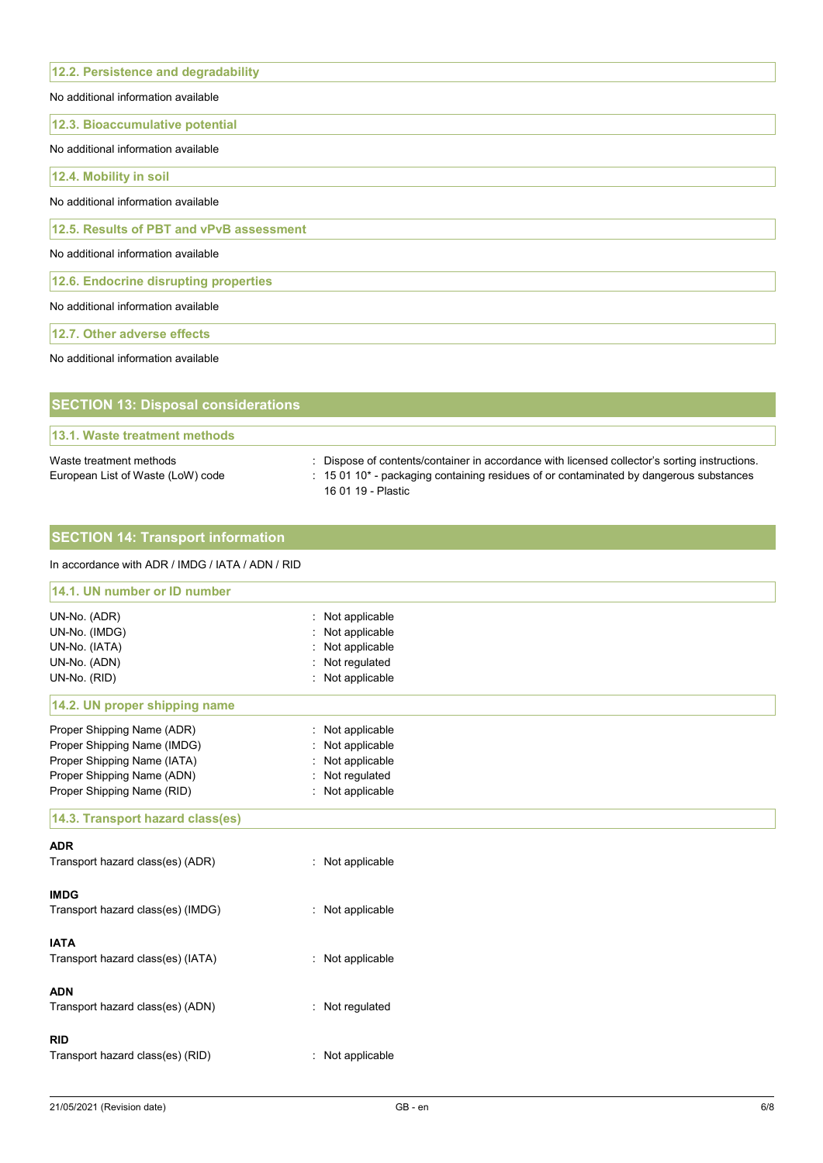| 12.2. Persistence and degradability      |
|------------------------------------------|
| No additional information available      |
| 12.3. Bioaccumulative potential          |
| No additional information available      |
| 12.4. Mobility in soil                   |
| No additional information available      |
| 12.5. Results of PBT and vPvB assessment |
| No additional information available      |
| 12.6. Endocrine disrupting properties    |
| No additional information available      |
| 12.7. Other adverse effects              |
| No additional information available      |
|                                          |

| <b>SECTION 13: Disposal considerations</b>                   |                                                                                                                                                                                                               |
|--------------------------------------------------------------|---------------------------------------------------------------------------------------------------------------------------------------------------------------------------------------------------------------|
| 13.1. Waste treatment methods                                |                                                                                                                                                                                                               |
| Waste treatment methods<br>European List of Waste (LoW) code | : Dispose of contents/container in accordance with licensed collector's sorting instructions.<br>: 15 01 10* - packaging containing residues of or contaminated by dangerous substances<br>16 01 19 - Plastic |

## **SECTION 14: Transport information**

## In accordance with ADR / IMDG / IATA / ADN / RID

| 14.1. UN number or ID number      |                                            |  |
|-----------------------------------|--------------------------------------------|--|
| UN-No. (ADR)                      | Not applicable                             |  |
| UN-No. (IMDG)                     | Not applicable                             |  |
| UN-No. (IATA)                     | Not applicable<br>$\overline{\phantom{a}}$ |  |
| UN-No. (ADN)                      | Not regulated                              |  |
| UN-No. (RID)                      | Not applicable<br>÷.                       |  |
| 14.2. UN proper shipping name     |                                            |  |
| Proper Shipping Name (ADR)        | Not applicable                             |  |
| Proper Shipping Name (IMDG)       | Not applicable                             |  |
| Proper Shipping Name (IATA)       | Not applicable                             |  |
| Proper Shipping Name (ADN)        | Not regulated<br>÷                         |  |
| Proper Shipping Name (RID)        | Not applicable                             |  |
| 14.3. Transport hazard class(es)  |                                            |  |
| <b>ADR</b>                        |                                            |  |
| Transport hazard class(es) (ADR)  | : Not applicable                           |  |
| <b>IMDG</b>                       |                                            |  |
| Transport hazard class(es) (IMDG) | : Not applicable                           |  |
| <b>IATA</b>                       |                                            |  |
| Transport hazard class(es) (IATA) | Not applicable<br>÷                        |  |
| <b>ADN</b>                        |                                            |  |
| Transport hazard class(es) (ADN)  | : Not regulated                            |  |
|                                   |                                            |  |
| <b>RID</b>                        |                                            |  |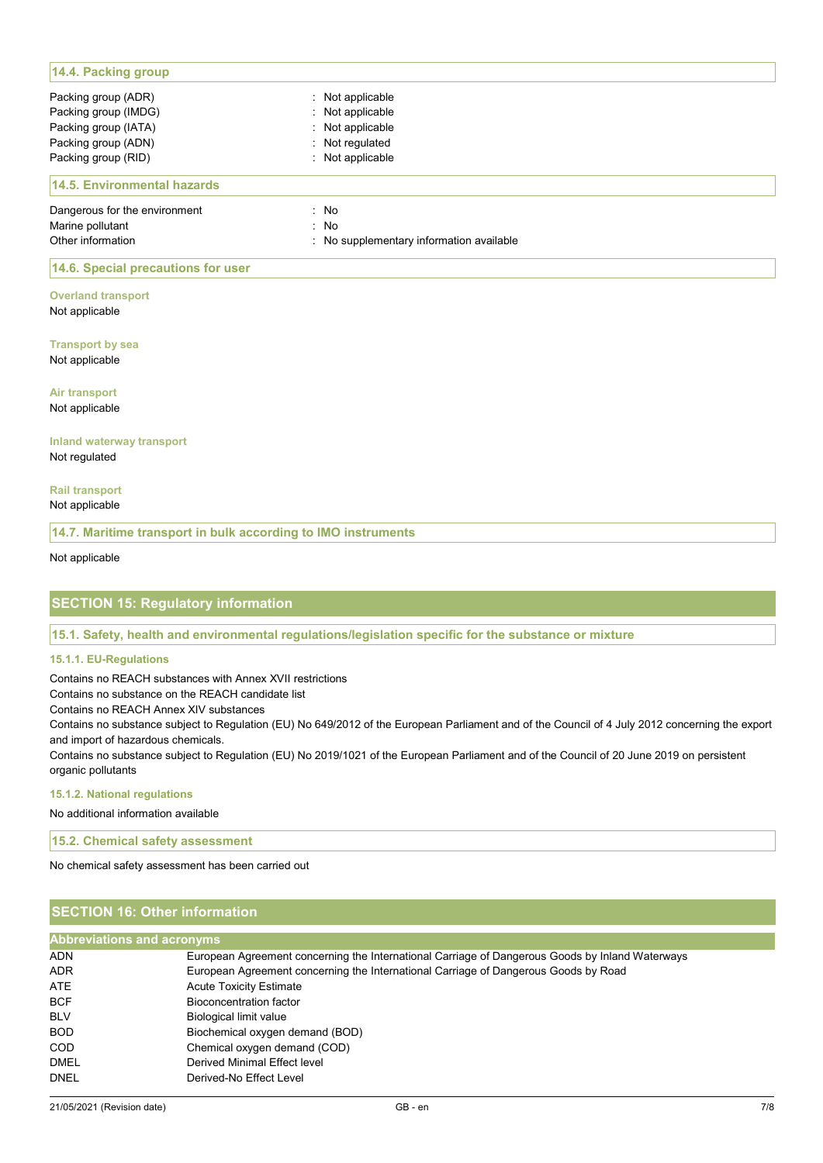| 14.4. Packing group           |                                          |
|-------------------------------|------------------------------------------|
| Packing group (ADR)           | : Not applicable                         |
| Packing group (IMDG)          | : Not applicable                         |
| Packing group (IATA)          | : Not applicable                         |
| Packing group (ADN)           | : Not regulated                          |
| Packing group (RID)           | : Not applicable                         |
| 14.5. Environmental hazards   |                                          |
| Dangerous for the environment | : No                                     |
| Marine pollutant              | : No                                     |
| Other information             | : No supplementary information available |

## **14.6. Special precautions for user**

**Overland transport** Not applicable

**Transport by sea** Not applicable

**Air transport** Not applicable

#### **Inland waterway transport** Not regulated

**Rail transport** Not applicable

**14.7. Maritime transport in bulk according to IMO instruments** 

Not applicable

## **SECTION 15: Regulatory information**

**15.1. Safety, health and environmental regulations/legislation specific for the substance or mixture** 

#### **15.1.1. EU-Regulations**

Contains no REACH substances with Annex XVII restrictions

Contains no substance on the REACH candidate list

Contains no REACH Annex XIV substances

Contains no substance subject to Regulation (EU) No 649/2012 of the European Parliament and of the Council of 4 July 2012 concerning the export and import of hazardous chemicals.

Contains no substance subject to Regulation (EU) No 2019/1021 of the European Parliament and of the Council of 20 June 2019 on persistent organic pollutants

**15.1.2. National regulations** 

No additional information available

**15.2. Chemical safety assessment** 

No chemical safety assessment has been carried out

## **SECTION 16: Other information**

| <b>Abbreviations and acronyms</b> |                                                                                                 |  |
|-----------------------------------|-------------------------------------------------------------------------------------------------|--|
| <b>ADN</b>                        | European Agreement concerning the International Carriage of Dangerous Goods by Inland Waterways |  |
| <b>ADR</b>                        | European Agreement concerning the International Carriage of Dangerous Goods by Road             |  |
| ATE                               | <b>Acute Toxicity Estimate</b>                                                                  |  |
| <b>BCF</b>                        | Bioconcentration factor                                                                         |  |
| <b>BLV</b>                        | Biological limit value                                                                          |  |
| <b>BOD</b>                        | Biochemical oxygen demand (BOD)                                                                 |  |
| <b>COD</b>                        | Chemical oxygen demand (COD)                                                                    |  |
| <b>DMEL</b>                       | Derived Minimal Effect level                                                                    |  |
| <b>DNEL</b>                       | Derived-No Effect Level                                                                         |  |